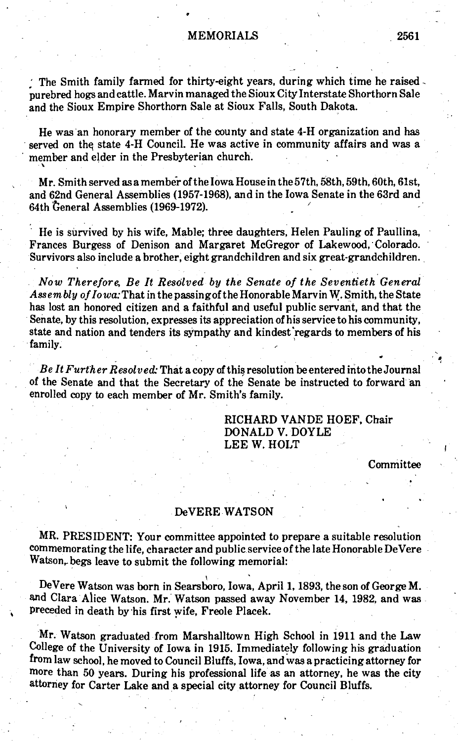## MEMORIALS 2561

The Smith family farmed for thirty-eight years, during which time he raised purebred hogs and cattle. Marvin managed the Sioux City Interstate Shorthorn Sale and the Sioux Empire Shorthorn Sale at Sioux Falls, South Dakota.

He was an honorary member of the county and state 4-H organization and has served on the state 4-H Council. He was active in community affairs and was a member and elder in the Presbyterian church.

■ V

Mr. Smith served as a member of the Iowa House in the 57th, 58th, 59th, 60th, 61st, and 62nd General Assemblies (1957-1968), and in the Iowa Senate in the 63rd and 64th General Assemblies (1969-1972).

He is survived by his wife, Mable; three daughters, Helen Pauling of Paullina, Frances Burgess of Denison and Margaret McGregor of Lakewood, Colorado. Survivors also include a brother, eight grandchildren and six great-grandchildren.

*N ow Therefore, Be It Resolved by the Senate o f the Seventieth General Assembly o flo wa:*That in the passingof the Honorable Marvin W. Smith, the State has lost an honored citizen and a faithful and useful public servant, and that the Senate, by this resolution, expresses its appreciation of his service to his community, state and nation and tenders its sympathy and kindest'regards to members of his family.

*B e lt F urther Resolved:* That a copy of this resolution be entered into the Journal of the Senate and that the Secretary of the Senate be instructed to forward an enrolled copy to each member of Mr. Smith's family.

> RICHARD VANDE HOEF, Chair DONALD V. DOYLE LEE W. HOLT

> > **Committee**

## DeVERE WATSON

MR. PRESIDENT: Your committee appointed to prepare a suitable resolution commemorating the life, character and public service of the late Honorable DeVere  $Watson<sub>r</sub>$  begs leave to submit the following memorial:

DeVere Watson was born in Searsboro, Iowa, April 1,1893, the son of George M. and Clara Alice Watson. Mr. Watson passed away November 14, 1982, and was preceded in death by his first wife, Freole Placek.

Mr. Watson graduated from Marshalltown High School in 1911 and the Law College of the University of Iowa in 1915. Immediately following his graduation from law school, he moved to Council Bluffs, Iowa, and was a practicing attorney for more than 50 years. During his professional life as an attorney, he was the city attorney for Carter Lake and a special city attorney for Council Bluffs.